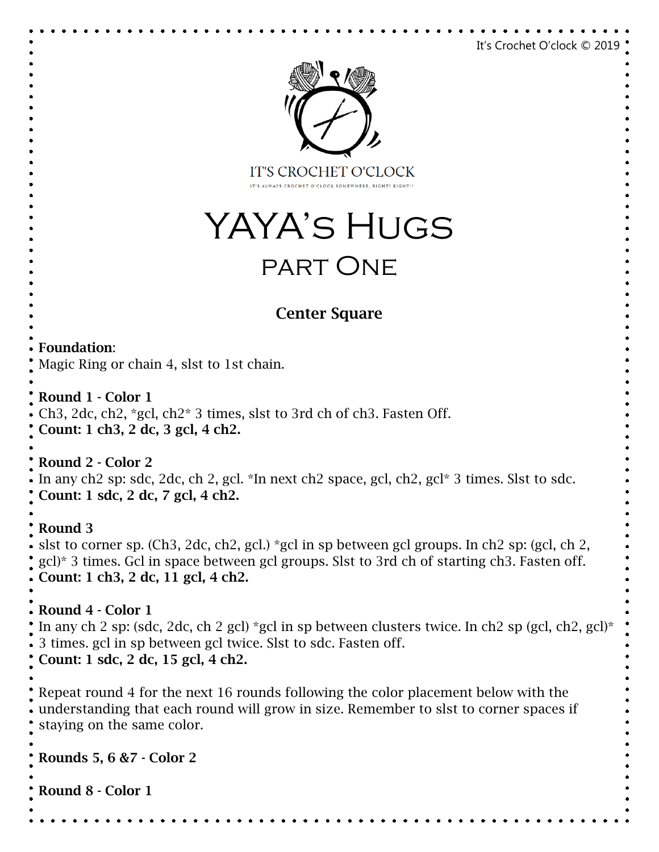```
It's Crochet O'clock © 2019
                                  IT'S CROCHET O'CLOCK
                                          ST O'CLOCK SOMEWHERE, RIGHT?
                          YAYA's Hugs
                                   part OneCenter Square
Foundation: 
Magic Ring or chain 4, slst to 1st chain.
Round 1 - Color 1
Ch3, 2dc, ch2, *gcl, ch2* 3 times, slst to 3rd ch of ch3. Fasten Off.
Count: 1 ch3, 2 dc, 3 gcl, 4 ch2.
Round 2 - Color 2
In any ch2 sp: sdc, 2dc, ch 2, gcl. *In next ch2 space, gcl, ch2, gcl* 3 times. Slst to sdc. 
Count: 1 sdc, 2 dc, 7 gcl, 4 ch2.
Round 3
slst to corner sp. (Ch3, 2dc, ch2, gcl.) *gcl in sp between gcl groups. In ch2 sp: (gcl, ch 2, 
gcl)* 3 times. Gcl in space between gcl groups. Slst to 3rd ch of starting ch3. Fasten off.
Count: 1 ch3, 2 dc, 11 gcl, 4 ch2.
Round 4 - Color 1
In any ch 2 sp: (sdc, 2dc, ch 2 gcl) *gcl in sp between clusters twice. In ch2 sp (gcl, ch2, gcl)*
3 times. gcl in sp between gcl twice. Slst to sdc. Fasten off.
Count: 1 sdc, 2 dc, 15 gcl, 4 ch2.
Repeat round 4 for the next 16 rounds following the color placement below with the 
understanding that each round will grow in size. Remember to slst to corner spaces if 
staying on the same color.
Rounds 5, 6 &7 - Color 2
Round 8 - Color 1
```